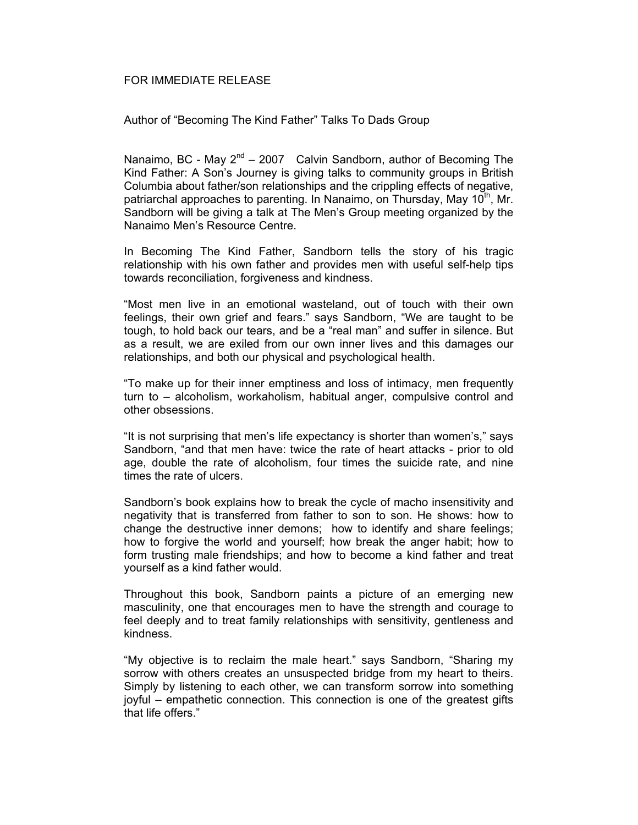## FOR IMMEDIATE RELEASE

## Author of "Becoming The Kind Father" Talks To Dads Group

Nanaimo, BC - May  $2^{nd}$  – 2007 Calvin Sandborn, author of Becoming The Kind Father: A Son's Journey is giving talks to community groups in British Columbia about father/son relationships and the crippling effects of negative, patriarchal approaches to parenting. In Nanaimo, on Thursday, May 10<sup>th</sup>, Mr. Sandborn will be giving a talk at The Men's Group meeting organized by the Nanaimo Men's Resource Centre.

In Becoming The Kind Father, Sandborn tells the story of his tragic relationship with his own father and provides men with useful self-help tips towards reconciliation, forgiveness and kindness.

"Most men live in an emotional wasteland, out of touch with their own feelings, their own grief and fears." says Sandborn, "We are taught to be tough, to hold back our tears, and be a "real man" and suffer in silence. But as a result, we are exiled from our own inner lives and this damages our relationships, and both our physical and psychological health.

"To make up for their inner emptiness and loss of intimacy, men frequently turn to – alcoholism, workaholism, habitual anger, compulsive control and other obsessions.

"It is not surprising that men's life expectancy is shorter than women's," says Sandborn, "and that men have: twice the rate of heart attacks - prior to old age, double the rate of alcoholism, four times the suicide rate, and nine times the rate of ulcers.

Sandborn's book explains how to break the cycle of macho insensitivity and negativity that is transferred from father to son to son. He shows: how to change the destructive inner demons; how to identify and share feelings; how to forgive the world and yourself; how break the anger habit; how to form trusting male friendships; and how to become a kind father and treat yourself as a kind father would.

Throughout this book, Sandborn paints a picture of an emerging new masculinity, one that encourages men to have the strength and courage to feel deeply and to treat family relationships with sensitivity, gentleness and kindness.

"My objective is to reclaim the male heart." says Sandborn, "Sharing my sorrow with others creates an unsuspected bridge from my heart to theirs. Simply by listening to each other, we can transform sorrow into something joyful – empathetic connection. This connection is one of the greatest gifts that life offers."